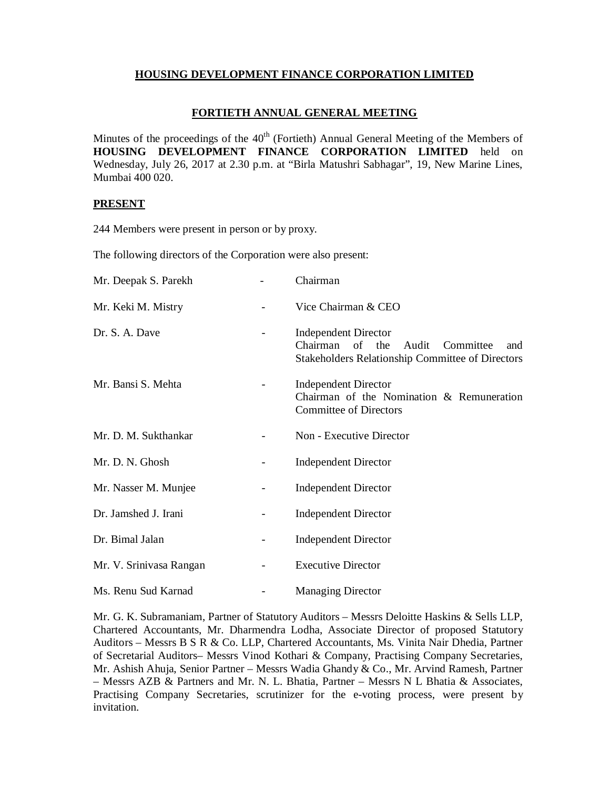### **HOUSING DEVELOPMENT FINANCE CORPORATION LIMITED**

#### **FORTIETH ANNUAL GENERAL MEETING**

Minutes of the proceedings of the  $40<sup>th</sup>$  (Fortieth) Annual General Meeting of the Members of **HOUSING DEVELOPMENT FINANCE CORPORATION LIMITED** held on Wednesday, July 26, 2017 at 2.30 p.m. at "Birla Matushri Sabhagar", 19, New Marine Lines, Mumbai 400 020.

#### **PRESENT**

244 Members were present in person or by proxy.

The following directors of the Corporation were also present:

| Mr. Deepak S. Parekh    | Chairman                                                                                                                               |
|-------------------------|----------------------------------------------------------------------------------------------------------------------------------------|
| Mr. Keki M. Mistry      | Vice Chairman & CEO                                                                                                                    |
| Dr. S. A. Dave          | <b>Independent Director</b><br>Chairman of the<br>Audit<br>Committee<br>and<br><b>Stakeholders Relationship Committee of Directors</b> |
| Mr. Bansi S. Mehta      | <b>Independent Director</b><br>Chairman of the Nomination & Remuneration<br><b>Committee of Directors</b>                              |
| Mr. D. M. Sukthankar    | Non - Executive Director                                                                                                               |
| Mr. D. N. Ghosh         | <b>Independent Director</b>                                                                                                            |
| Mr. Nasser M. Munjee    | <b>Independent Director</b>                                                                                                            |
| Dr. Jamshed J. Irani    | <b>Independent Director</b>                                                                                                            |
| Dr. Bimal Jalan         | <b>Independent Director</b>                                                                                                            |
| Mr. V. Srinivasa Rangan | <b>Executive Director</b>                                                                                                              |
| Ms. Renu Sud Karnad     | <b>Managing Director</b>                                                                                                               |

Mr. G. K. Subramaniam, Partner of Statutory Auditors – Messrs Deloitte Haskins & Sells LLP, Chartered Accountants, Mr. Dharmendra Lodha, Associate Director of proposed Statutory Auditors – Messrs B S R & Co. LLP, Chartered Accountants, Ms. Vinita Nair Dhedia, Partner of Secretarial Auditors– Messrs Vinod Kothari & Company, Practising Company Secretaries, Mr. Ashish Ahuja, Senior Partner – Messrs Wadia Ghandy & Co., Mr. Arvind Ramesh, Partner – Messrs AZB & Partners and Mr. N. L. Bhatia, Partner – Messrs N L Bhatia & Associates, Practising Company Secretaries, scrutinizer for the e-voting process, were present by invitation.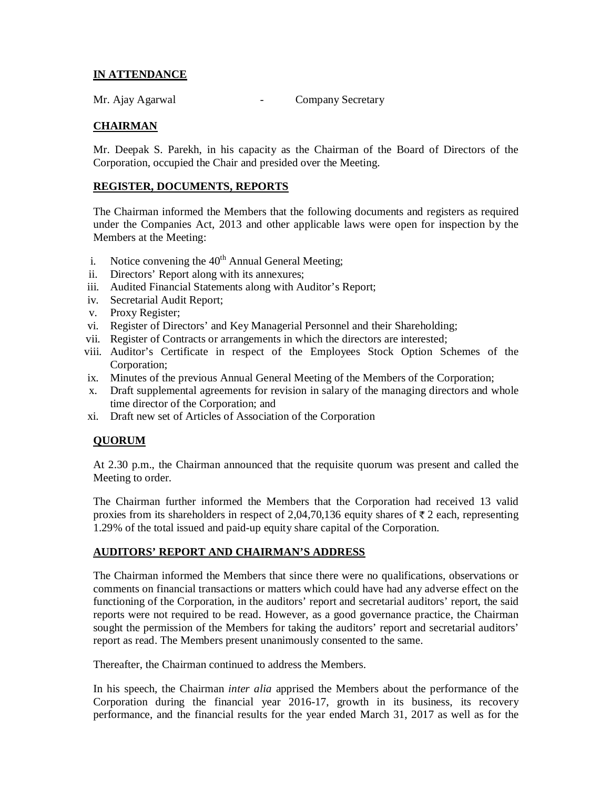# **IN ATTENDANCE**

Mr. Ajay Agarwal **- Company Secretary** 

## **CHAIRMAN**

Mr. Deepak S. Parekh, in his capacity as the Chairman of the Board of Directors of the Corporation, occupied the Chair and presided over the Meeting.

#### **REGISTER, DOCUMENTS, REPORTS**

The Chairman informed the Members that the following documents and registers as required under the Companies Act, 2013 and other applicable laws were open for inspection by the Members at the Meeting:

- i. Notice convening the  $40<sup>th</sup>$  Annual General Meeting;
- ii. Directors' Report along with its annexures;
- iii. Audited Financial Statements along with Auditor's Report;
- iv. Secretarial Audit Report;
- v. Proxy Register;
- vi. Register of Directors' and Key Managerial Personnel and their Shareholding;
- vii. Register of Contracts or arrangements in which the directors are interested;
- viii. Auditor's Certificate in respect of the Employees Stock Option Schemes of the Corporation;
- ix. Minutes of the previous Annual General Meeting of the Members of the Corporation;
- x. Draft supplemental agreements for revision in salary of the managing directors and whole time director of the Corporation; and
- xi. Draft new set of Articles of Association of the Corporation

### **QUORUM**

At 2.30 p.m., the Chairman announced that the requisite quorum was present and called the Meeting to order.

The Chairman further informed the Members that the Corporation had received 13 valid proxies from its shareholders in respect of 2,04,70,136 equity shares of  $\bar{\tau}$  2 each, representing 1.29% of the total issued and paid-up equity share capital of the Corporation.

### **AUDITORS' REPORT AND CHAIRMAN'S ADDRESS**

The Chairman informed the Members that since there were no qualifications, observations or comments on financial transactions or matters which could have had any adverse effect on the functioning of the Corporation, in the auditors' report and secretarial auditors' report, the said reports were not required to be read. However, as a good governance practice, the Chairman sought the permission of the Members for taking the auditors' report and secretarial auditors' report as read. The Members present unanimously consented to the same.

Thereafter, the Chairman continued to address the Members.

In his speech, the Chairman *inter alia* apprised the Members about the performance of the Corporation during the financial year 2016-17, growth in its business, its recovery performance, and the financial results for the year ended March 31, 2017 as well as for the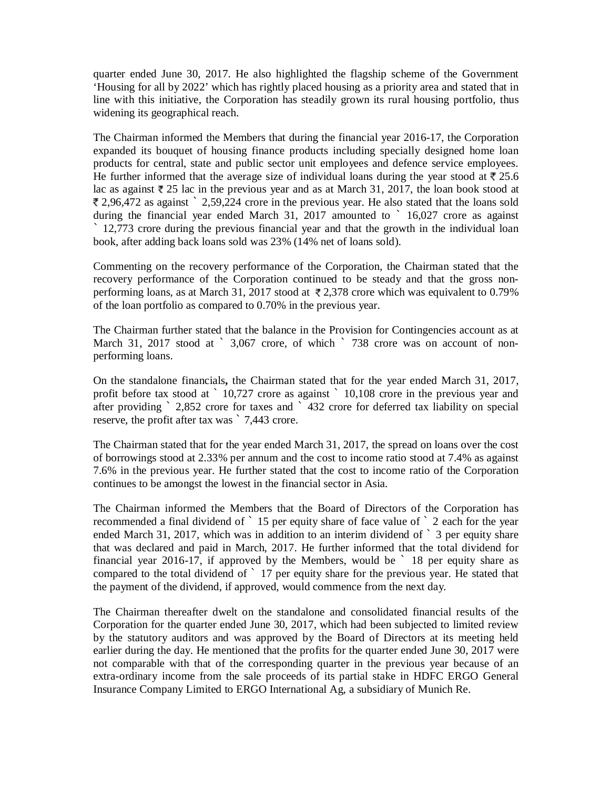quarter ended June 30, 2017. He also highlighted the flagship scheme of the Government 'Housing for all by 2022' which has rightly placed housing as a priority area and stated that in line with this initiative, the Corporation has steadily grown its rural housing portfolio, thus widening its geographical reach.

The Chairman informed the Members that during the financial year 2016-17, the Corporation expanded its bouquet of housing finance products including specially designed home loan products for central, state and public sector unit employees and defence service employees. He further informed that the average size of individual loans during the year stood at  $\ell$  25.6 lac as against  $\bar{\ell}$  25 lac in the previous year and as at March 31, 2017, the loan book stood at 2,96,472 as against ` 2,59,224 crore in the previous year. He also stated that the loans sold during the financial year ended March 31, 2017 amounted to ` 16,027 crore as against ` 12,773 crore during the previous financial year and that the growth in the individual loan book, after adding back loans sold was 23% (14% net of loans sold).

Commenting on the recovery performance of the Corporation, the Chairman stated that the recovery performance of the Corporation continued to be steady and that the gross nonperforming loans, as at March 31, 2017 stood at  $\overline{\ell}$  2,378 crore which was equivalent to 0.79% of the loan portfolio as compared to 0.70% in the previous year.

The Chairman further stated that the balance in the Provision for Contingencies account as at March 31, 2017 stood at ` 3,067 crore, of which ` 738 crore was on account of nonperforming loans.

On the standalone financials**,** the Chairman stated that for the year ended March 31, 2017, profit before tax stood at ` 10,727 crore as against ` 10,108 crore in the previous year and after providing ` 2,852 crore for taxes and ` 432 crore for deferred tax liability on special reserve, the profit after tax was ` 7,443 crore.

The Chairman stated that for the year ended March 31, 2017, the spread on loans over the cost of borrowings stood at 2.33% per annum and the cost to income ratio stood at 7.4% as against 7.6% in the previous year. He further stated that the cost to income ratio of the Corporation continues to be amongst the lowest in the financial sector in Asia.

The Chairman informed the Members that the Board of Directors of the Corporation has recommended a final dividend of ` 15 per equity share of face value of ` 2 each for the year ended March 31, 2017, which was in addition to an interim dividend of  $\degree$  3 per equity share that was declared and paid in March, 2017. He further informed that the total dividend for financial year 2016-17, if approved by the Members, would be  $\degree$  18 per equity share as compared to the total dividend of ` 17 per equity share for the previous year. He stated that the payment of the dividend, if approved, would commence from the next day.

The Chairman thereafter dwelt on the standalone and consolidated financial results of the Corporation for the quarter ended June 30, 2017, which had been subjected to limited review by the statutory auditors and was approved by the Board of Directors at its meeting held earlier during the day. He mentioned that the profits for the quarter ended June 30, 2017 were not comparable with that of the corresponding quarter in the previous year because of an extra-ordinary income from the sale proceeds of its partial stake in HDFC ERGO General Insurance Company Limited to ERGO International Ag, a subsidiary of Munich Re.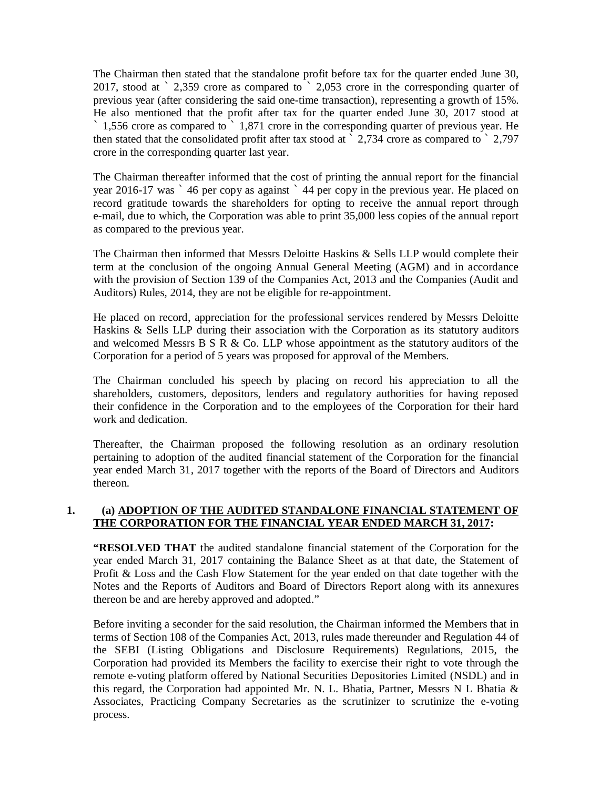The Chairman then stated that the standalone profit before tax for the quarter ended June 30, 2017, stood at ` 2,359 crore as compared to ` 2,053 crore in the corresponding quarter of previous year (after considering the said one-time transaction), representing a growth of 15%. He also mentioned that the profit after tax for the quarter ended June 30, 2017 stood at  $\dot{\phantom{1}}$  1,556 crore as compared to  $\dot{\phantom{1}}$  1,871 crore in the corresponding quarter of previous year. He then stated that the consolidated profit after tax stood at ` 2,734 crore as compared to ` 2,797 crore in the corresponding quarter last year.

The Chairman thereafter informed that the cost of printing the annual report for the financial year 2016-17 was ` 46 per copy as against ` 44 per copy in the previous year. He placed on record gratitude towards the shareholders for opting to receive the annual report through e-mail, due to which, the Corporation was able to print 35,000 less copies of the annual report as compared to the previous year.

The Chairman then informed that Messrs Deloitte Haskins & Sells LLP would complete their term at the conclusion of the ongoing Annual General Meeting (AGM) and in accordance with the provision of Section 139 of the Companies Act, 2013 and the Companies (Audit and Auditors) Rules, 2014, they are not be eligible for re-appointment.

He placed on record, appreciation for the professional services rendered by Messrs Deloitte Haskins & Sells LLP during their association with the Corporation as its statutory auditors and welcomed Messrs B  $S \, R \, \& Co. LLP$  whose appointment as the statutory auditors of the Corporation for a period of 5 years was proposed for approval of the Members.

The Chairman concluded his speech by placing on record his appreciation to all the shareholders, customers, depositors, lenders and regulatory authorities for having reposed their confidence in the Corporation and to the employees of the Corporation for their hard work and dedication.

Thereafter, the Chairman proposed the following resolution as an ordinary resolution pertaining to adoption of the audited financial statement of the Corporation for the financial year ended March 31, 2017 together with the reports of the Board of Directors and Auditors thereon.

### **1. (a) ADOPTION OF THE AUDITED STANDALONE FINANCIAL STATEMENT OF THE CORPORATION FOR THE FINANCIAL YEAR ENDED MARCH 31, 2017:**

**"RESOLVED THAT** the audited standalone financial statement of the Corporation for the year ended March 31, 2017 containing the Balance Sheet as at that date, the Statement of Profit & Loss and the Cash Flow Statement for the year ended on that date together with the Notes and the Reports of Auditors and Board of Directors Report along with its annexures thereon be and are hereby approved and adopted."

Before inviting a seconder for the said resolution, the Chairman informed the Members that in terms of Section 108 of the Companies Act, 2013, rules made thereunder and Regulation 44 of the SEBI (Listing Obligations and Disclosure Requirements) Regulations, 2015, the Corporation had provided its Members the facility to exercise their right to vote through the remote e-voting platform offered by National Securities Depositories Limited (NSDL) and in this regard, the Corporation had appointed Mr. N. L. Bhatia, Partner, Messrs N L Bhatia  $\&$ Associates, Practicing Company Secretaries as the scrutinizer to scrutinize the e-voting process.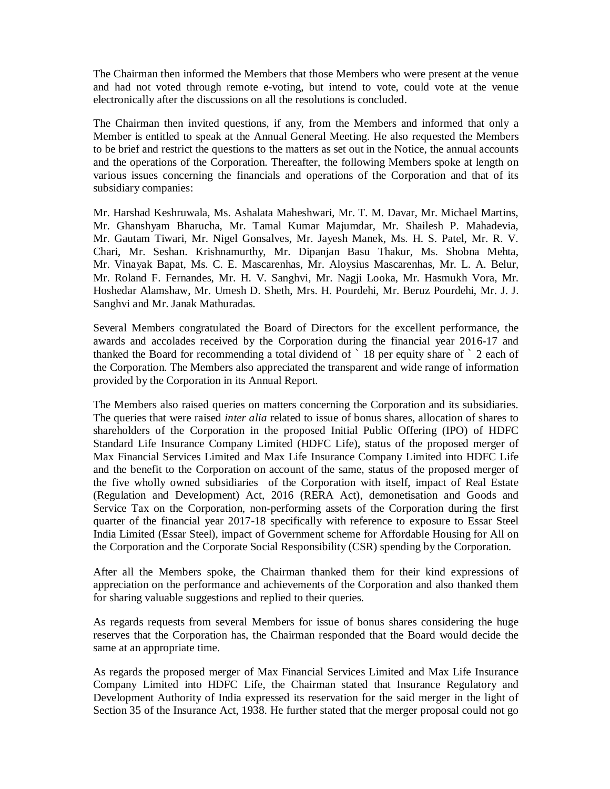The Chairman then informed the Members that those Members who were present at the venue and had not voted through remote e-voting, but intend to vote, could vote at the venue electronically after the discussions on all the resolutions is concluded.

The Chairman then invited questions, if any, from the Members and informed that only a Member is entitled to speak at the Annual General Meeting. He also requested the Members to be brief and restrict the questions to the matters as set out in the Notice, the annual accounts and the operations of the Corporation. Thereafter, the following Members spoke at length on various issues concerning the financials and operations of the Corporation and that of its subsidiary companies:

Mr. Harshad Keshruwala, Ms. Ashalata Maheshwari, Mr. T. M. Davar, Mr. Michael Martins, Mr. Ghanshyam Bharucha, Mr. Tamal Kumar Majumdar, Mr. Shailesh P. Mahadevia, Mr. Gautam Tiwari, Mr. Nigel Gonsalves, Mr. Jayesh Manek, Ms. H. S. Patel, Mr. R. V. Chari, Mr. Seshan. Krishnamurthy, Mr. Dipanjan Basu Thakur, Ms. Shobna Mehta, Mr. Vinayak Bapat, Ms. C. E. Mascarenhas, Mr. Aloysius Mascarenhas, Mr. L. A. Belur, Mr. Roland F. Fernandes, Mr. H. V. Sanghvi, Mr. Nagji Looka, Mr. Hasmukh Vora, Mr. Hoshedar Alamshaw, Mr. Umesh D. Sheth, Mrs. H. Pourdehi, Mr. Beruz Pourdehi, Mr. J. J. Sanghvi and Mr. Janak Mathuradas.

Several Members congratulated the Board of Directors for the excellent performance, the awards and accolades received by the Corporation during the financial year 2016-17 and thanked the Board for recommending a total dividend of ` 18 per equity share of ` 2 each of the Corporation. The Members also appreciated the transparent and wide range of information provided by the Corporation in its Annual Report.

The Members also raised queries on matters concerning the Corporation and its subsidiaries. The queries that were raised *inter alia* related to issue of bonus shares, allocation of shares to shareholders of the Corporation in the proposed Initial Public Offering (IPO) of HDFC Standard Life Insurance Company Limited (HDFC Life), status of the proposed merger of Max Financial Services Limited and Max Life Insurance Company Limited into HDFC Life and the benefit to the Corporation on account of the same, status of the proposed merger of the five wholly owned subsidiaries of the Corporation with itself, impact of Real Estate (Regulation and Development) Act, 2016 (RERA Act), demonetisation and Goods and Service Tax on the Corporation, non-performing assets of the Corporation during the first quarter of the financial year 2017-18 specifically with reference to exposure to Essar Steel India Limited (Essar Steel), impact of Government scheme for Affordable Housing for All on the Corporation and the Corporate Social Responsibility (CSR) spending by the Corporation.

After all the Members spoke, the Chairman thanked them for their kind expressions of appreciation on the performance and achievements of the Corporation and also thanked them for sharing valuable suggestions and replied to their queries.

As regards requests from several Members for issue of bonus shares considering the huge reserves that the Corporation has, the Chairman responded that the Board would decide the same at an appropriate time.

As regards the proposed merger of Max Financial Services Limited and Max Life Insurance Company Limited into HDFC Life, the Chairman stated that Insurance Regulatory and Development Authority of India expressed its reservation for the said merger in the light of Section 35 of the Insurance Act, 1938. He further stated that the merger proposal could not go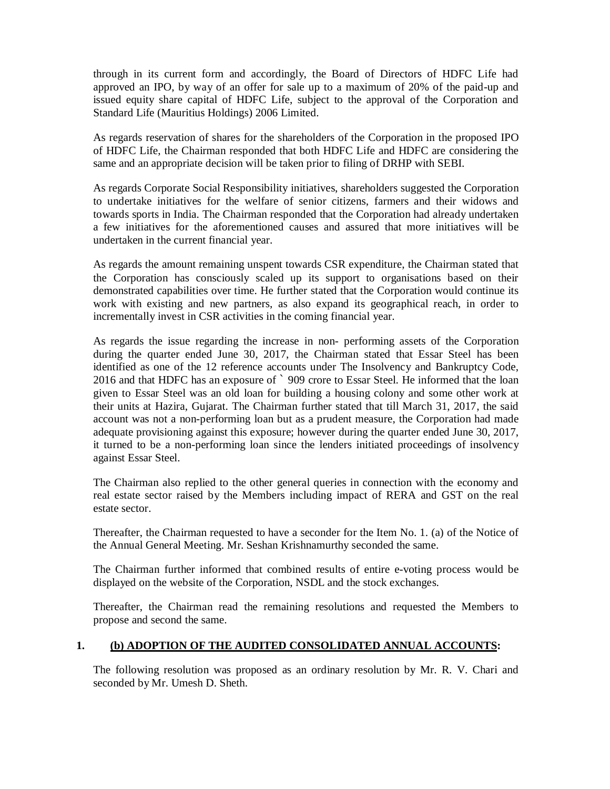through in its current form and accordingly, the Board of Directors of HDFC Life had approved an IPO, by way of an offer for sale up to a maximum of 20% of the paid-up and issued equity share capital of HDFC Life, subject to the approval of the Corporation and Standard Life (Mauritius Holdings) 2006 Limited.

As regards reservation of shares for the shareholders of the Corporation in the proposed IPO of HDFC Life, the Chairman responded that both HDFC Life and HDFC are considering the same and an appropriate decision will be taken prior to filing of DRHP with SEBI.

As regards Corporate Social Responsibility initiatives, shareholders suggested the Corporation to undertake initiatives for the welfare of senior citizens, farmers and their widows and towards sports in India. The Chairman responded that the Corporation had already undertaken a few initiatives for the aforementioned causes and assured that more initiatives will be undertaken in the current financial year.

As regards the amount remaining unspent towards CSR expenditure, the Chairman stated that the Corporation has consciously scaled up its support to organisations based on their demonstrated capabilities over time. He further stated that the Corporation would continue its work with existing and new partners, as also expand its geographical reach, in order to incrementally invest in CSR activities in the coming financial year.

As regards the issue regarding the increase in non- performing assets of the Corporation during the quarter ended June 30, 2017, the Chairman stated that Essar Steel has been identified as one of the 12 reference accounts under The Insolvency and Bankruptcy Code, 2016 and that HDFC has an exposure of ` 909 crore to Essar Steel. He informed that the loan given to Essar Steel was an old loan for building a housing colony and some other work at their units at Hazira, Gujarat. The Chairman further stated that till March 31, 2017, the said account was not a non-performing loan but as a prudent measure, the Corporation had made adequate provisioning against this exposure; however during the quarter ended June 30, 2017, it turned to be a non-performing loan since the lenders initiated proceedings of insolvency against Essar Steel.

The Chairman also replied to the other general queries in connection with the economy and real estate sector raised by the Members including impact of RERA and GST on the real estate sector.

Thereafter, the Chairman requested to have a seconder for the Item No. 1. (a) of the Notice of the Annual General Meeting. Mr. Seshan Krishnamurthy seconded the same.

The Chairman further informed that combined results of entire e-voting process would be displayed on the website of the Corporation, NSDL and the stock exchanges.

Thereafter, the Chairman read the remaining resolutions and requested the Members to propose and second the same.

### **1. (b) ADOPTION OF THE AUDITED CONSOLIDATED ANNUAL ACCOUNTS:**

The following resolution was proposed as an ordinary resolution by Mr. R. V. Chari and seconded by Mr. Umesh D. Sheth.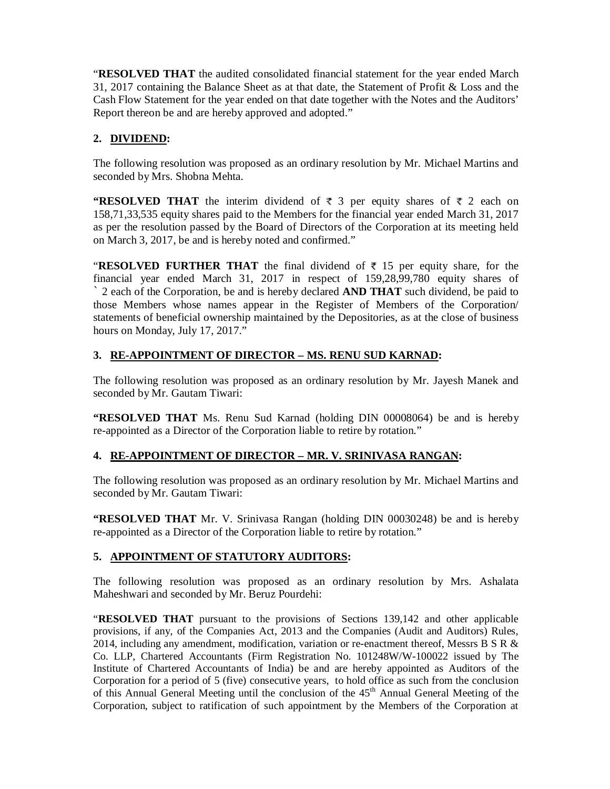"**RESOLVED THAT** the audited consolidated financial statement for the year ended March 31, 2017 containing the Balance Sheet as at that date, the Statement of Profit & Loss and the Cash Flow Statement for the year ended on that date together with the Notes and the Auditors' Report thereon be and are hereby approved and adopted."

## **2. DIVIDEND:**

The following resolution was proposed as an ordinary resolution by Mr. Michael Martins and seconded by Mrs. Shobna Mehta.

**"RESOLVED THAT** the interim dividend of  $\bar{\tau}$  3 per equity shares of  $\bar{\tau}$  2 each on 158,71,33,535 equity shares paid to the Members for the financial year ended March 31, 2017 as per the resolution passed by the Board of Directors of the Corporation at its meeting held on March 3, 2017, be and is hereby noted and confirmed."

"**RESOLVED FURTHER THAT** the final dividend of  $\bar{\tau}$  15 per equity share, for the financial year ended March 31, 2017 in respect of 159,28,99,780 equity shares of ` 2 each of the Corporation, be and is hereby declared **AND THAT** such dividend, be paid to those Members whose names appear in the Register of Members of the Corporation/ statements of beneficial ownership maintained by the Depositories, as at the close of business hours on Monday, July 17, 2017."

## **3. RE-APPOINTMENT OF DIRECTOR – MS. RENU SUD KARNAD:**

The following resolution was proposed as an ordinary resolution by Mr. Jayesh Manek and seconded by Mr. Gautam Tiwari:

**"RESOLVED THAT** Ms. Renu Sud Karnad (holding DIN 00008064) be and is hereby re-appointed as a Director of the Corporation liable to retire by rotation."

### **4. RE-APPOINTMENT OF DIRECTOR – MR. V. SRINIVASA RANGAN:**

The following resolution was proposed as an ordinary resolution by Mr. Michael Martins and seconded by Mr. Gautam Tiwari:

**"RESOLVED THAT** Mr. V. Srinivasa Rangan (holding DIN 00030248) be and is hereby re-appointed as a Director of the Corporation liable to retire by rotation."

#### **5. APPOINTMENT OF STATUTORY AUDITORS:**

The following resolution was proposed as an ordinary resolution by Mrs. Ashalata Maheshwari and seconded by Mr. Beruz Pourdehi:

"**RESOLVED THAT** pursuant to the provisions of Sections 139,142 and other applicable provisions, if any, of the Companies Act, 2013 and the Companies (Audit and Auditors) Rules, 2014, including any amendment, modification, variation or re-enactment thereof, Messrs B S R  $\&$ Co. LLP, Chartered Accountants (Firm Registration No. 101248W/W-100022 issued by The Institute of Chartered Accountants of India) be and are hereby appointed as Auditors of the Corporation for a period of 5 (five) consecutive years, to hold office as such from the conclusion of this Annual General Meeting until the conclusion of the 45th Annual General Meeting of the Corporation, subject to ratification of such appointment by the Members of the Corporation at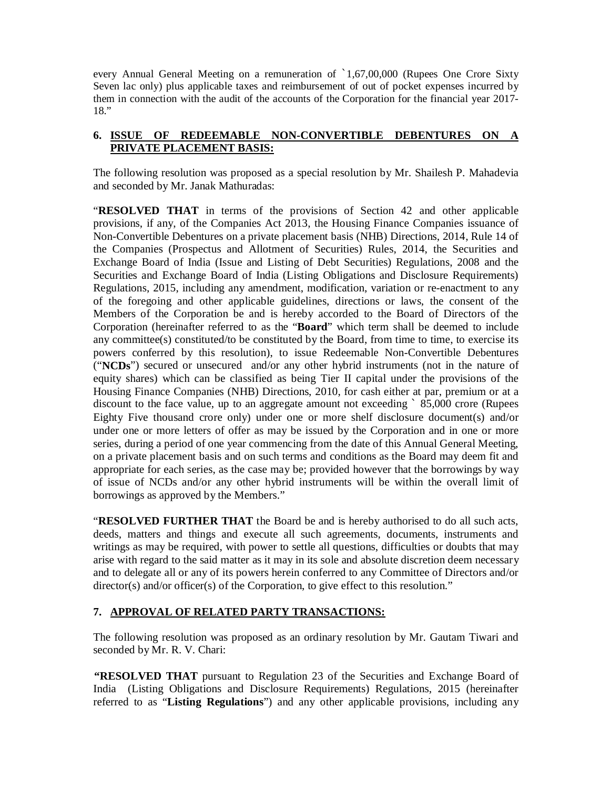every Annual General Meeting on a remuneration of `1,67,00,000 (Rupees One Crore Sixty Seven lac only) plus applicable taxes and reimbursement of out of pocket expenses incurred by them in connection with the audit of the accounts of the Corporation for the financial year 2017- 18."

### **6. ISSUE OF REDEEMABLE NON-CONVERTIBLE DEBENTURES ON A PRIVATE PLACEMENT BASIS:**

The following resolution was proposed as a special resolution by Mr. Shailesh P. Mahadevia and seconded by Mr. Janak Mathuradas:

"**RESOLVED THAT** in terms of the provisions of Section 42 and other applicable provisions, if any, of the Companies Act 2013, the Housing Finance Companies issuance of Non-Convertible Debentures on a private placement basis (NHB) Directions, 2014, Rule 14 of the Companies (Prospectus and Allotment of Securities) Rules, 2014, the Securities and Exchange Board of India (Issue and Listing of Debt Securities) Regulations, 2008 and the Securities and Exchange Board of India (Listing Obligations and Disclosure Requirements) Regulations, 2015, including any amendment, modification, variation or re-enactment to any of the foregoing and other applicable guidelines, directions or laws, the consent of the Members of the Corporation be and is hereby accorded to the Board of Directors of the Corporation (hereinafter referred to as the "**Board**" which term shall be deemed to include any committee(s) constituted/to be constituted by the Board, from time to time, to exercise its powers conferred by this resolution), to issue Redeemable Non-Convertible Debentures ("**NCDs**") secured or unsecured and/or any other hybrid instruments (not in the nature of equity shares) which can be classified as being Tier II capital under the provisions of the Housing Finance Companies (NHB) Directions, 2010, for cash either at par, premium or at a discount to the face value, up to an aggregate amount not exceeding ` 85,000 crore (Rupees Eighty Five thousand crore only) under one or more shelf disclosure document(s) and/or under one or more letters of offer as may be issued by the Corporation and in one or more series, during a period of one year commencing from the date of this Annual General Meeting, on a private placement basis and on such terms and conditions as the Board may deem fit and appropriate for each series, as the case may be; provided however that the borrowings by way of issue of NCDs and/or any other hybrid instruments will be within the overall limit of borrowings as approved by the Members."

"**RESOLVED FURTHER THAT** the Board be and is hereby authorised to do all such acts, deeds, matters and things and execute all such agreements, documents, instruments and writings as may be required, with power to settle all questions, difficulties or doubts that may arise with regard to the said matter as it may in its sole and absolute discretion deem necessary and to delegate all or any of its powers herein conferred to any Committee of Directors and/or director(s) and/or officer(s) of the Corporation, to give effect to this resolution."

### **7. APPROVAL OF RELATED PARTY TRANSACTIONS:**

The following resolution was proposed as an ordinary resolution by Mr. Gautam Tiwari and seconded by Mr. R. V. Chari:

**"RESOLVED THAT** pursuant to Regulation 23 of the Securities and Exchange Board of India (Listing Obligations and Disclosure Requirements) Regulations, 2015 (hereinafter referred to as "**Listing Regulations**") and any other applicable provisions, including any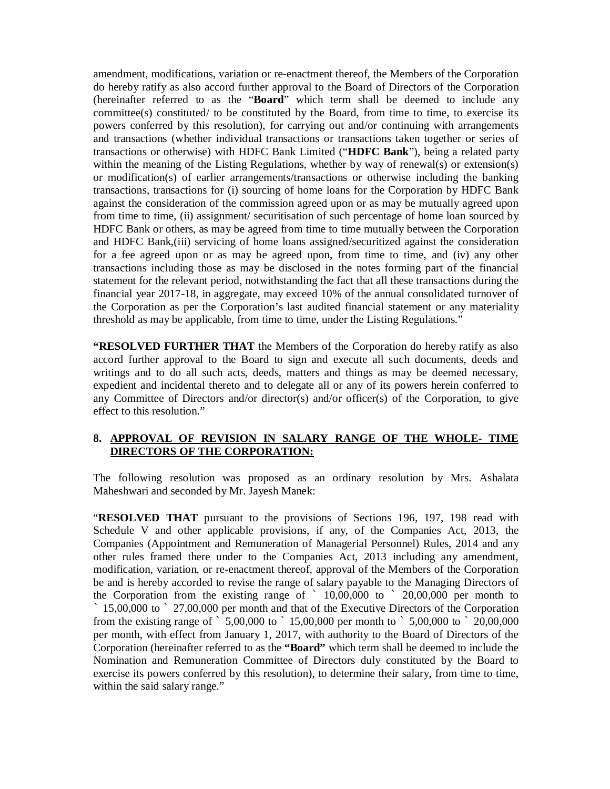amendment, modifications, variation or re-enactment thereof, the Members of the Corporation do hereby ratify as also accord further approval to the Board of Directors of the Corporation (hereinafter referred to as the "**Board**" which term shall be deemed to include any committee(s) constituted/ to be constituted by the Board, from time to time, to exercise its powers conferred by this resolution), for carrying out and/or continuing with arrangements and transactions (whether individual transactions or transactions taken together or series of transactions or otherwise) with HDFC Bank Limited ("**HDFC Bank**"), being a related party within the meaning of the Listing Regulations, whether by way of renewal(s) or extension(s) or modification(s) of earlier arrangements/transactions or otherwise including the banking transactions, transactions for (i) sourcing of home loans for the Corporation by HDFC Bank against the consideration of the commission agreed upon or as may be mutually agreed upon from time to time, (ii) assignment/ securitisation of such percentage of home loan sourced by HDFC Bank or others, as may be agreed from time to time mutually between the Corporation and HDFC Bank,(iii) servicing of home loans assigned/securitized against the consideration for a fee agreed upon or as may be agreed upon, from time to time, and (iv) any other transactions including those as may be disclosed in the notes forming part of the financial statement for the relevant period, notwithstanding the fact that all these transactions during the financial year 2017-18, in aggregate, may exceed 10% of the annual consolidated turnover of the Corporation as per the Corporation's last audited financial statement or any materiality threshold as may be applicable, from time to time, under the Listing Regulations."

**"RESOLVED FURTHER THAT** the Members of the Corporation do hereby ratify as also accord further approval to the Board to sign and execute all such documents, deeds and writings and to do all such acts, deeds, matters and things as may be deemed necessary, expedient and incidental thereto and to delegate all or any of its powers herein conferred to any Committee of Directors and/or director(s) and/or officer(s) of the Corporation, to give effect to this resolution."

### **8. APPROVAL OF REVISION IN SALARY RANGE OF THE WHOLE- TIME DIRECTORS OF THE CORPORATION:**

The following resolution was proposed as an ordinary resolution by Mrs. Ashalata Maheshwari and seconded by Mr. Jayesh Manek:

"**RESOLVED THAT** pursuant to the provisions of Sections 196, 197, 198 read with Schedule V and other applicable provisions, if any, of the Companies Act, 2013, the Companies (Appointment and Remuneration of Managerial Personnel) Rules, 2014 and any other rules framed there under to the Companies Act, 2013 including any amendment, modification, variation, or re-enactment thereof, approval of the Members of the Corporation be and is hereby accorded to revise the range of salary payable to the Managing Directors of the Corporation from the existing range of  $\degree$  10,00,000 to  $\degree$  20,00,000 per month to ` 15,00,000 to ` 27,00,000 per month and that of the Executive Directors of the Corporation from the existing range of  $\frac{1}{5,00,000}$  to  $\frac{15,00,000}{20,000}$  per month to  $\frac{1}{5,00,000}$  to  $\frac{1}{20,00,000}$ per month, with effect from January 1, 2017, with authority to the Board of Directors of the Corporation (hereinafter referred to as the **"Board"** which term shall be deemed to include the Nomination and Remuneration Committee of Directors duly constituted by the Board to exercise its powers conferred by this resolution), to determine their salary, from time to time, within the said salary range."